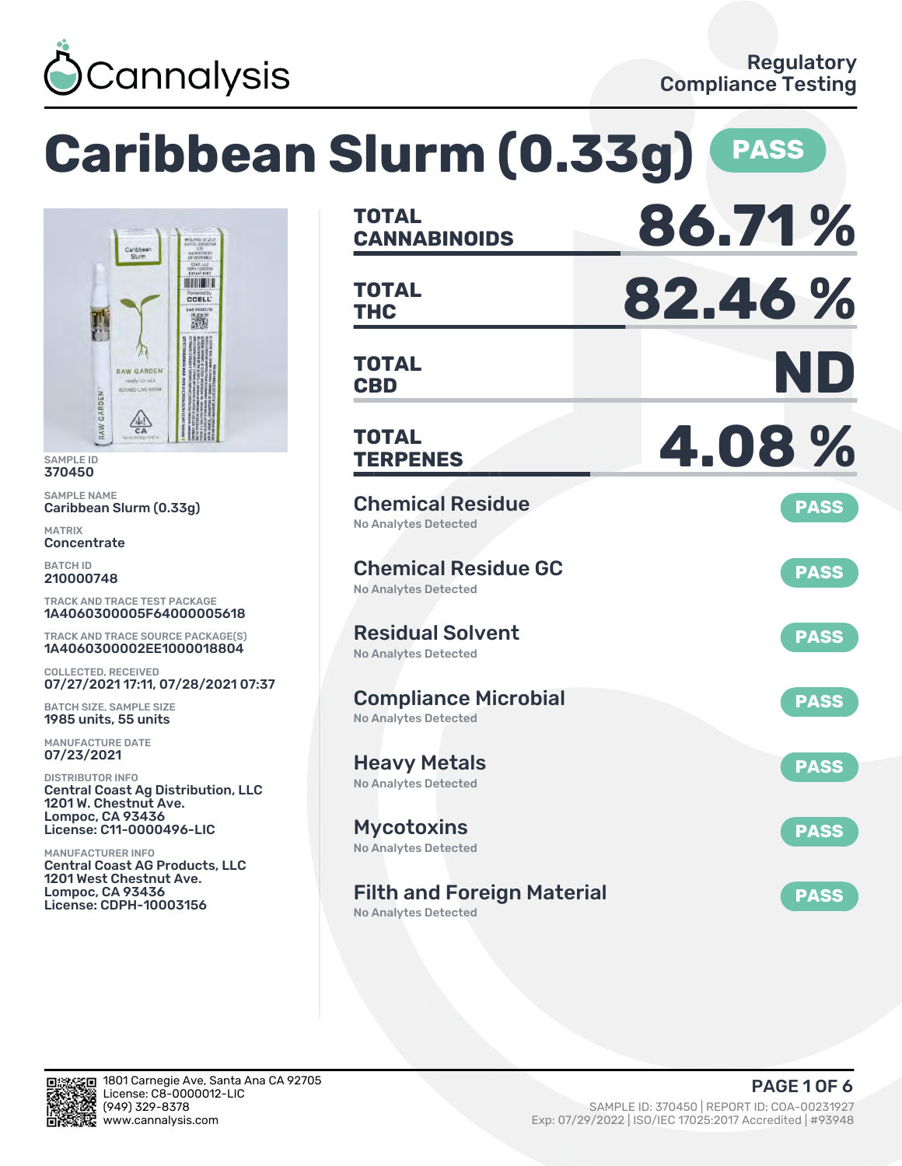

**Caribbean Slurm (0.33g) PASS**



SAMPLE ID 370450

SAMPLE NAME Caribbean Slurm (0.33g)

MATRIX **Concentrate** 

BATCH ID 210000748

TRACK AND TRACE TEST PACKAGE 1A4060300005F64000005618

TRACK AND TRACE SOURCE PACKAGE(S) 1A4060300002EE1000018804

COLLECTED, RECEIVED 07/27/2021 17:11, 07/28/2021 07:37

BATCH SIZE, SAMPLE SIZE 1985 units, 55 units

MANUFACTURE DATE 07/23/2021

DISTRIBUTOR INFO Central Coast Ag Distribution, LLC 1201 W. Chestnut Ave. Lompoc, CA 93436 License: C11-0000496-LIC

MANUFACTURER INFO Central Coast AG Products, LLC 1201 West Chestnut Ave. Lompoc, CA 93436 License: CDPH-10003156

| <b>TOTAL</b><br><b>CANNABINOIDS</b>                              | 86.71%      |
|------------------------------------------------------------------|-------------|
| <b>TOTAL</b><br><b>THC</b>                                       | 82.46%      |
| <b>TOTAL</b><br><b>CBD</b>                                       | ND          |
| <b>TOTAL</b><br><b>TERPENES</b>                                  | 4.08%       |
| <b>Chemical Residue</b><br><b>No Analytes Detected</b>           | <b>PASS</b> |
| <b>Chemical Residue GC</b><br><b>No Analytes Detected</b>        | <b>PASS</b> |
| <b>Residual Solvent</b><br><b>No Analytes Detected</b>           | <b>PASS</b> |
| <b>Compliance Microbial</b><br><b>No Analytes Detected</b>       | <b>PASS</b> |
| <b>Heavy Metals</b><br><b>No Analytes Detected</b>               | <b>PASS</b> |
| <b>Mycotoxins</b><br>No Analytes Detected                        | <b>PASS</b> |
| <b>Filth and Foreign Material</b><br><b>No Analytes Detected</b> | <b>PASS</b> |

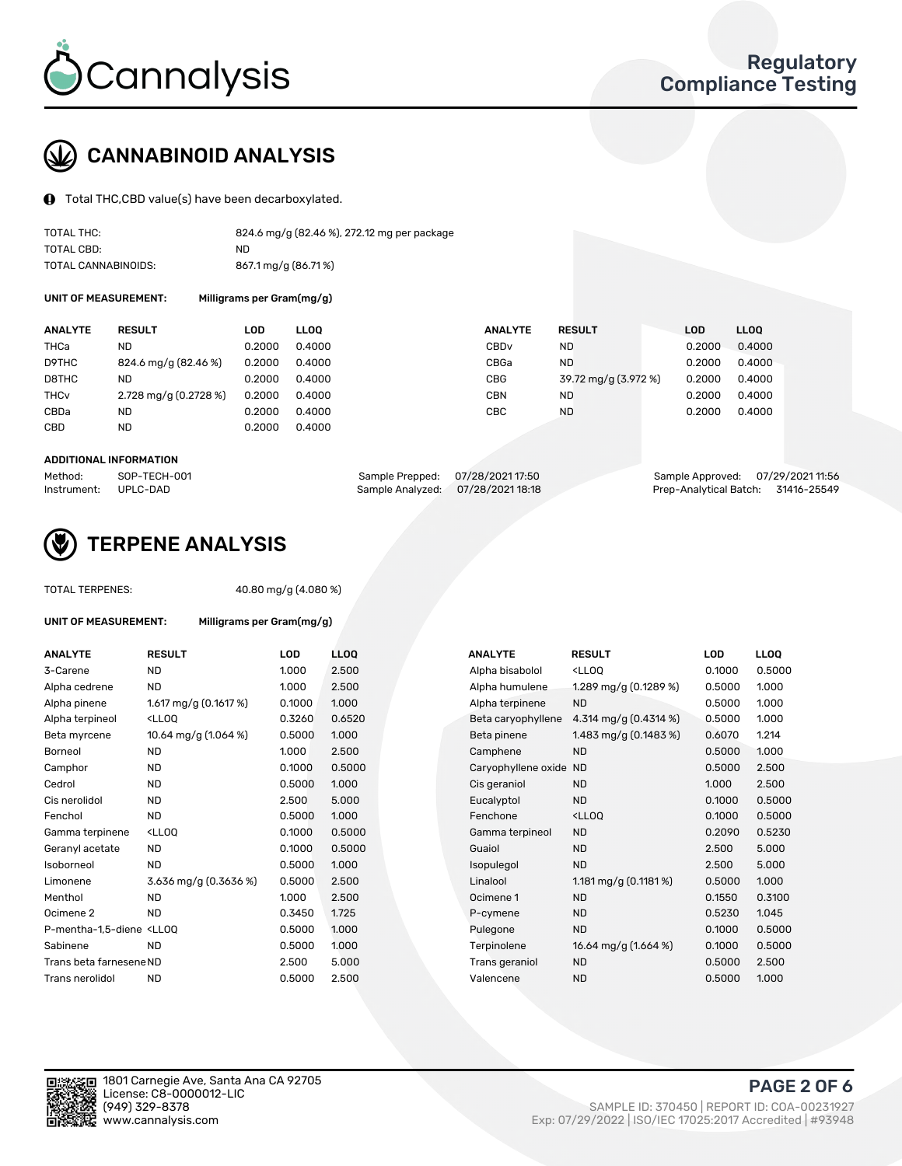

# CANNABINOID ANALYSIS

Total THC,CBD value(s) have been decarboxylated.

| TOTAL THC:          | 824.6 mg/g (82.46 %), 272.12 mg per package |
|---------------------|---------------------------------------------|
| TOTAL CBD:          | ND                                          |
| TOTAL CANNABINOIDS: | 867.1 mg/g (86.71%)                         |

UNIT OF MEASUREMENT:

| Milligrams per Gram(mg/g) |  |
|---------------------------|--|
|---------------------------|--|

| <b>ANALYTE</b>         | <b>RESULT</b>         | LOD    | <b>LLOO</b> | <b>ANALYTE</b>   | <b>RESULT</b>        | <b>LOD</b> | <b>LLOO</b> |
|------------------------|-----------------------|--------|-------------|------------------|----------------------|------------|-------------|
| THCa                   | <b>ND</b>             | 0.2000 | 0.4000      | CBD <sub>v</sub> | <b>ND</b>            | 0.2000     | 0.4000      |
| D9THC                  | 824.6 mg/g (82.46 %)  | 0.2000 | 0.4000      | CBGa             | <b>ND</b>            | 0.2000     | 0.4000      |
| D8THC                  | <b>ND</b>             | 0.2000 | 0.4000      | <b>CBG</b>       | 39.72 mg/g (3.972 %) | 0.2000     | 0.4000      |
| <b>THC<sub>v</sub></b> | 2.728 mg/g (0.2728 %) | 0.2000 | 0.4000      | <b>CBN</b>       | <b>ND</b>            | 0.2000     | 0.4000      |
| CBDa                   | <b>ND</b>             | 0.2000 | 0.4000      | CBC              | <b>ND</b>            | 0.2000     | 0.4000      |
| CBD                    | <b>ND</b>             | 0.2000 | 0.4000      |                  |                      |            |             |
|                        |                       |        |             |                  |                      |            |             |

#### ADDITIONAL INFORMATION

| Method:              | SOP-TECH-001 | Sample Prepped: 07/28/2021 17:50  | Sample Approved: 07/29/2021 11:56  |  |
|----------------------|--------------|-----------------------------------|------------------------------------|--|
| Instrument: UPLC-DAD |              | Sample Analyzed: 07/28/2021 18:18 | Prep-Analytical Batch: 31416-25549 |  |



### TERPENE ANALYSIS

TOTAL TERPENES: 40.80 mg/g (4.080 %)

| <b>UNIT OF MEASUREMENT:</b>                                                    | Milligrams per Gram(mg/g)                          |        |             |  |  |  |  |
|--------------------------------------------------------------------------------|----------------------------------------------------|--------|-------------|--|--|--|--|
| <b>ANALYTE</b>                                                                 | <b>RESULT</b>                                      | LOD    | <b>LLOO</b> |  |  |  |  |
| 3-Carene                                                                       | <b>ND</b>                                          | 1.000  | 2.500       |  |  |  |  |
| Alpha cedrene                                                                  | <b>ND</b>                                          | 1.000  | 2.500       |  |  |  |  |
| Alpha pinene                                                                   | 1.617 mg/g $(0.1617%)$                             | 0.1000 | 1.000       |  |  |  |  |
| Alpha terpineol                                                                | <lloo< td=""><td>0.3260</td><td>0.652</td></lloo<> | 0.3260 | 0.652       |  |  |  |  |
| Beta myrcene                                                                   | 10.64 mg/g $(1.064\%)$                             | 0.5000 | 1.000       |  |  |  |  |
| Borneol                                                                        | <b>ND</b>                                          | 1.000  | 2.500       |  |  |  |  |
| Camphor                                                                        | <b>ND</b>                                          | 0.1000 | 0.500       |  |  |  |  |
| Cedrol                                                                         | <b>ND</b>                                          | 0.5000 | 1.000       |  |  |  |  |
| Cis nerolidol                                                                  | <b>ND</b>                                          | 2.500  | 5.000       |  |  |  |  |
| Fenchol                                                                        | <b>ND</b>                                          | 0.5000 | 1.000       |  |  |  |  |
| Gamma terpinene                                                                | <lloo< td=""><td>0.1000</td><td>0.500</td></lloo<> | 0.1000 | 0.500       |  |  |  |  |
| Geranyl acetate                                                                | <b>ND</b>                                          | 0.1000 | 0.500       |  |  |  |  |
| Isoborneol                                                                     | <b>ND</b>                                          | 0.5000 | 1.000       |  |  |  |  |
| Limonene                                                                       | 3.636 mg/g (0.3636 %)                              | 0.5000 | 2.500       |  |  |  |  |
| Menthol                                                                        | <b>ND</b>                                          | 1.000  | 2.500       |  |  |  |  |
| Ocimene <sub>2</sub>                                                           | <b>ND</b>                                          | 0.3450 | 1.725       |  |  |  |  |
| P-mentha-1,5-diene <ll0q< td=""><td></td><td>0.5000</td><td>1.000</td></ll0q<> |                                                    | 0.5000 | 1.000       |  |  |  |  |
| Sabinene                                                                       | <b>ND</b>                                          | 0.5000 | 1.000       |  |  |  |  |
| Trans beta farnesene ND                                                        |                                                    | 2.500  | 5.000       |  |  |  |  |
| Trans nerolidol                                                                | <b>ND</b>                                          | 0.5000 | 2.500       |  |  |  |  |

| ANALYTE                                                                                                                                         | <b>RESULT</b>                                                                                                                                          | <b>LOD</b> | <b>LLOQ</b> | <b>ANALYTE</b>         | <b>RESULT</b>                                       | LOD    | <b>LLOQ</b> |
|-------------------------------------------------------------------------------------------------------------------------------------------------|--------------------------------------------------------------------------------------------------------------------------------------------------------|------------|-------------|------------------------|-----------------------------------------------------|--------|-------------|
| 3-Carene                                                                                                                                        | <b>ND</b>                                                                                                                                              | 1.000      | 2.500       | Alpha bisabolol        | <lloq< td=""><td>0.1000</td><td>0.5000</td></lloq<> | 0.1000 | 0.5000      |
| Alpha cedrene                                                                                                                                   | <b>ND</b>                                                                                                                                              | 1.000      | 2.500       | Alpha humulene         | 1.289 mg/g (0.1289 %)                               | 0.5000 | 1.000       |
| Alpha pinene                                                                                                                                    | 1.617 mg/g $(0.1617%)$                                                                                                                                 | 0.1000     | 1.000       | Alpha terpinene        | <b>ND</b>                                           | 0.5000 | 1.000       |
| Alpha terpineol                                                                                                                                 | <lloq< td=""><td>0.3260</td><td>0.6520</td><td>Beta caryophyllene</td><td>4.314 mg/g <math>(0.4314\%)</math></td><td>0.5000</td><td>1.000</td></lloq<> | 0.3260     | 0.6520      | Beta caryophyllene     | 4.314 mg/g $(0.4314\%)$                             | 0.5000 | 1.000       |
| Beta myrcene                                                                                                                                    | 10.64 mg/g (1.064 %)                                                                                                                                   | 0.5000     | 1.000       | Beta pinene            | 1.483 mg/g $(0.1483\%)$                             | 0.6070 | 1.214       |
| Borneol                                                                                                                                         | <b>ND</b>                                                                                                                                              | 1.000      | 2.500       | Camphene               | <b>ND</b>                                           | 0.5000 | 1.000       |
| Camphor                                                                                                                                         | <b>ND</b>                                                                                                                                              | 0.1000     | 0.5000      | Caryophyllene oxide ND |                                                     | 0.5000 | 2.500       |
| Cedrol                                                                                                                                          | <b>ND</b>                                                                                                                                              | 0.5000     | 1.000       | Cis geraniol           | <b>ND</b>                                           | 1.000  | 2.500       |
| Cis nerolidol                                                                                                                                   | <b>ND</b>                                                                                                                                              | 2.500      | 5.000       | Eucalyptol             | <b>ND</b>                                           | 0.1000 | 0.5000      |
| Fenchol                                                                                                                                         | <b>ND</b>                                                                                                                                              | 0.5000     | 1.000       | Fenchone               | <lloq< td=""><td>0.1000</td><td>0.5000</td></lloq<> | 0.1000 | 0.5000      |
| Gamma terpinene                                                                                                                                 | <lloq< td=""><td>0.1000</td><td>0.5000</td><td>Gamma terpineol</td><td><b>ND</b></td><td>0.2090</td><td>0.5230</td></lloq<>                            | 0.1000     | 0.5000      | Gamma terpineol        | <b>ND</b>                                           | 0.2090 | 0.5230      |
| Geranyl acetate                                                                                                                                 | <b>ND</b>                                                                                                                                              | 0.1000     | 0.5000      | Guaiol                 | <b>ND</b>                                           | 2.500  | 5.000       |
| Isoborneol                                                                                                                                      | <b>ND</b>                                                                                                                                              | 0.5000     | 1.000       | Isopulegol             | <b>ND</b>                                           | 2.500  | 5.000       |
| Limonene                                                                                                                                        | 3.636 mg/g (0.3636 %)                                                                                                                                  | 0.5000     | 2.500       | Linalool               | 1.181 mg/g $(0.1181\%)$                             | 0.5000 | 1.000       |
| Menthol                                                                                                                                         | <b>ND</b>                                                                                                                                              | 1.000      | 2.500       | Ocimene 1              | <b>ND</b>                                           | 0.1550 | 0.3100      |
| Ocimene 2                                                                                                                                       | <b>ND</b>                                                                                                                                              | 0.3450     | 1.725       | P-cymene               | <b>ND</b>                                           | 0.5230 | 1.045       |
| P-mentha-1,5-diene <lloq< td=""><td></td><td>0.5000</td><td>1.000</td><td>Pulegone</td><td><b>ND</b></td><td>0.1000</td><td>0.5000</td></lloq<> |                                                                                                                                                        | 0.5000     | 1.000       | Pulegone               | <b>ND</b>                                           | 0.1000 | 0.5000      |
| Sabinene                                                                                                                                        | <b>ND</b>                                                                                                                                              | 0.5000     | 1.000       | Terpinolene            | 16.64 mg/g (1.664 %)                                | 0.1000 | 0.5000      |
| Trans beta farnesene ND                                                                                                                         |                                                                                                                                                        | 2.500      | 5.000       | Trans geraniol         | <b>ND</b>                                           | 0.5000 | 2.500       |
| Trans nerolidol                                                                                                                                 | <b>ND</b>                                                                                                                                              | 0.5000     | 2.500       | Valencene              | <b>ND</b>                                           | 0.5000 | 1.000       |



PAGE 2 OF 6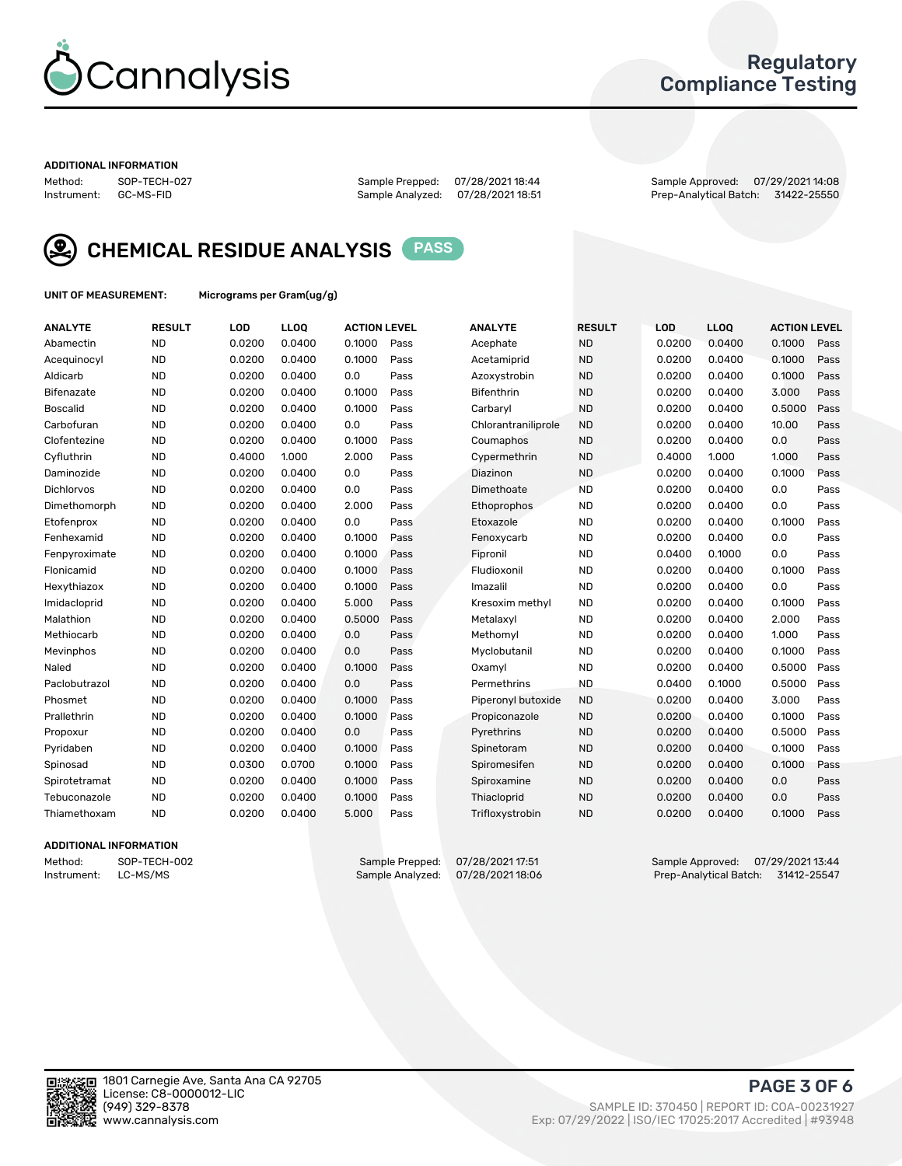

### Regulatory Compliance Testing

#### ADDITIONAL INFORMATION

Method: SOP-TECH-027 Sample Prepped: 07/28/2021 18:44 Sample Approved: 07/29/2021 14:08 Prep-Analytical Batch: 31422-25550



CHEMICAL RESIDUE ANALYSIS PASS

UNIT OF MEASUREMENT: Micrograms per Gram(ug/g)

| <b>ANALYTE</b>    | <b>RESULT</b> | LOD    | LL <sub>OO</sub> | <b>ACTION LEVEL</b> |      | <b>ANALYTE</b>      | <b>RESULT</b> | LOD    | <b>LLOQ</b> | <b>ACTION LEVEL</b> |      |
|-------------------|---------------|--------|------------------|---------------------|------|---------------------|---------------|--------|-------------|---------------------|------|
| Abamectin         | <b>ND</b>     | 0.0200 | 0.0400           | 0.1000              | Pass | Acephate            | <b>ND</b>     | 0.0200 | 0.0400      | 0.1000              | Pass |
| Acequinocyl       | <b>ND</b>     | 0.0200 | 0.0400           | 0.1000              | Pass | Acetamiprid         | <b>ND</b>     | 0.0200 | 0.0400      | 0.1000              | Pass |
| Aldicarb          | <b>ND</b>     | 0.0200 | 0.0400           | 0.0                 | Pass | Azoxystrobin        | <b>ND</b>     | 0.0200 | 0.0400      | 0.1000              | Pass |
| Bifenazate        | <b>ND</b>     | 0.0200 | 0.0400           | 0.1000              | Pass | <b>Bifenthrin</b>   | <b>ND</b>     | 0.0200 | 0.0400      | 3.000               | Pass |
| <b>Boscalid</b>   | <b>ND</b>     | 0.0200 | 0.0400           | 0.1000              | Pass | Carbaryl            | <b>ND</b>     | 0.0200 | 0.0400      | 0.5000              | Pass |
| Carbofuran        | <b>ND</b>     | 0.0200 | 0.0400           | 0.0                 | Pass | Chlorantraniliprole | <b>ND</b>     | 0.0200 | 0.0400      | 10.00               | Pass |
| Clofentezine      | <b>ND</b>     | 0.0200 | 0.0400           | 0.1000              | Pass | Coumaphos           | <b>ND</b>     | 0.0200 | 0.0400      | 0.0                 | Pass |
| Cyfluthrin        | <b>ND</b>     | 0.4000 | 1.000            | 2.000               | Pass | Cypermethrin        | <b>ND</b>     | 0.4000 | 1.000       | 1.000               | Pass |
| Daminozide        | <b>ND</b>     | 0.0200 | 0.0400           | 0.0                 | Pass | Diazinon            | <b>ND</b>     | 0.0200 | 0.0400      | 0.1000              | Pass |
| <b>Dichlorvos</b> | <b>ND</b>     | 0.0200 | 0.0400           | 0.0                 | Pass | Dimethoate          | <b>ND</b>     | 0.0200 | 0.0400      | 0.0                 | Pass |
| Dimethomorph      | <b>ND</b>     | 0.0200 | 0.0400           | 2.000               | Pass | Ethoprophos         | <b>ND</b>     | 0.0200 | 0.0400      | 0.0                 | Pass |
| Etofenprox        | <b>ND</b>     | 0.0200 | 0.0400           | 0.0                 | Pass | Etoxazole           | <b>ND</b>     | 0.0200 | 0.0400      | 0.1000              | Pass |
| Fenhexamid        | <b>ND</b>     | 0.0200 | 0.0400           | 0.1000              | Pass | Fenoxycarb          | <b>ND</b>     | 0.0200 | 0.0400      | 0.0                 | Pass |
| Fenpyroximate     | <b>ND</b>     | 0.0200 | 0.0400           | 0.1000              | Pass | Fipronil            | <b>ND</b>     | 0.0400 | 0.1000      | 0.0                 | Pass |
| Flonicamid        | <b>ND</b>     | 0.0200 | 0.0400           | 0.1000              | Pass | Fludioxonil         | <b>ND</b>     | 0.0200 | 0.0400      | 0.1000              | Pass |
| Hexythiazox       | <b>ND</b>     | 0.0200 | 0.0400           | 0.1000              | Pass | Imazalil            | <b>ND</b>     | 0.0200 | 0.0400      | 0.0                 | Pass |
| Imidacloprid      | <b>ND</b>     | 0.0200 | 0.0400           | 5.000               | Pass | Kresoxim methyl     | <b>ND</b>     | 0.0200 | 0.0400      | 0.1000              | Pass |
| Malathion         | <b>ND</b>     | 0.0200 | 0.0400           | 0.5000              | Pass | Metalaxyl           | <b>ND</b>     | 0.0200 | 0.0400      | 2.000               | Pass |
| Methiocarb        | <b>ND</b>     | 0.0200 | 0.0400           | 0.0                 | Pass | Methomyl            | <b>ND</b>     | 0.0200 | 0.0400      | 1.000               | Pass |
| Mevinphos         | <b>ND</b>     | 0.0200 | 0.0400           | 0.0                 | Pass | Myclobutanil        | <b>ND</b>     | 0.0200 | 0.0400      | 0.1000              | Pass |
| Naled             | <b>ND</b>     | 0.0200 | 0.0400           | 0.1000              | Pass | Oxamyl              | <b>ND</b>     | 0.0200 | 0.0400      | 0.5000              | Pass |
| Paclobutrazol     | <b>ND</b>     | 0.0200 | 0.0400           | 0.0                 | Pass | Permethrins         | <b>ND</b>     | 0.0400 | 0.1000      | 0.5000              | Pass |
| Phosmet           | <b>ND</b>     | 0.0200 | 0.0400           | 0.1000              | Pass | Piperonyl butoxide  | <b>ND</b>     | 0.0200 | 0.0400      | 3.000               | Pass |
| Prallethrin       | <b>ND</b>     | 0.0200 | 0.0400           | 0.1000              | Pass | Propiconazole       | <b>ND</b>     | 0.0200 | 0.0400      | 0.1000              | Pass |
| Propoxur          | <b>ND</b>     | 0.0200 | 0.0400           | 0.0                 | Pass | Pyrethrins          | <b>ND</b>     | 0.0200 | 0.0400      | 0.5000              | Pass |
| Pyridaben         | <b>ND</b>     | 0.0200 | 0.0400           | 0.1000              | Pass | Spinetoram          | <b>ND</b>     | 0.0200 | 0.0400      | 0.1000              | Pass |
| Spinosad          | <b>ND</b>     | 0.0300 | 0.0700           | 0.1000              | Pass | Spiromesifen        | <b>ND</b>     | 0.0200 | 0.0400      | 0.1000              | Pass |
| Spirotetramat     | <b>ND</b>     | 0.0200 | 0.0400           | 0.1000              | Pass | Spiroxamine         | <b>ND</b>     | 0.0200 | 0.0400      | 0.0                 | Pass |
| Tebuconazole      | <b>ND</b>     | 0.0200 | 0.0400           | 0.1000              | Pass | Thiacloprid         | <b>ND</b>     | 0.0200 | 0.0400      | 0.0                 | Pass |
| Thiamethoxam      | <b>ND</b>     | 0.0200 | 0.0400           | 5.000               | Pass | Trifloxystrobin     | <b>ND</b>     | 0.0200 | 0.0400      | 0.1000              | Pass |
|                   |               |        |                  |                     |      |                     |               |        |             |                     |      |

### ADDITIONAL INFORMATION

Method: SOP-TECH-002 Sample Prepped: 07/28/2021 17:51 Sample Approved: 07/29/2021 13:44<br>Instrument: LC-MS/MS Sample Analyzed: 07/28/2021 18:06 Prep-Analytical Batch: 31412-25547 Prep-Analytical Batch: 31412-25547

PAGE 3 OF 6

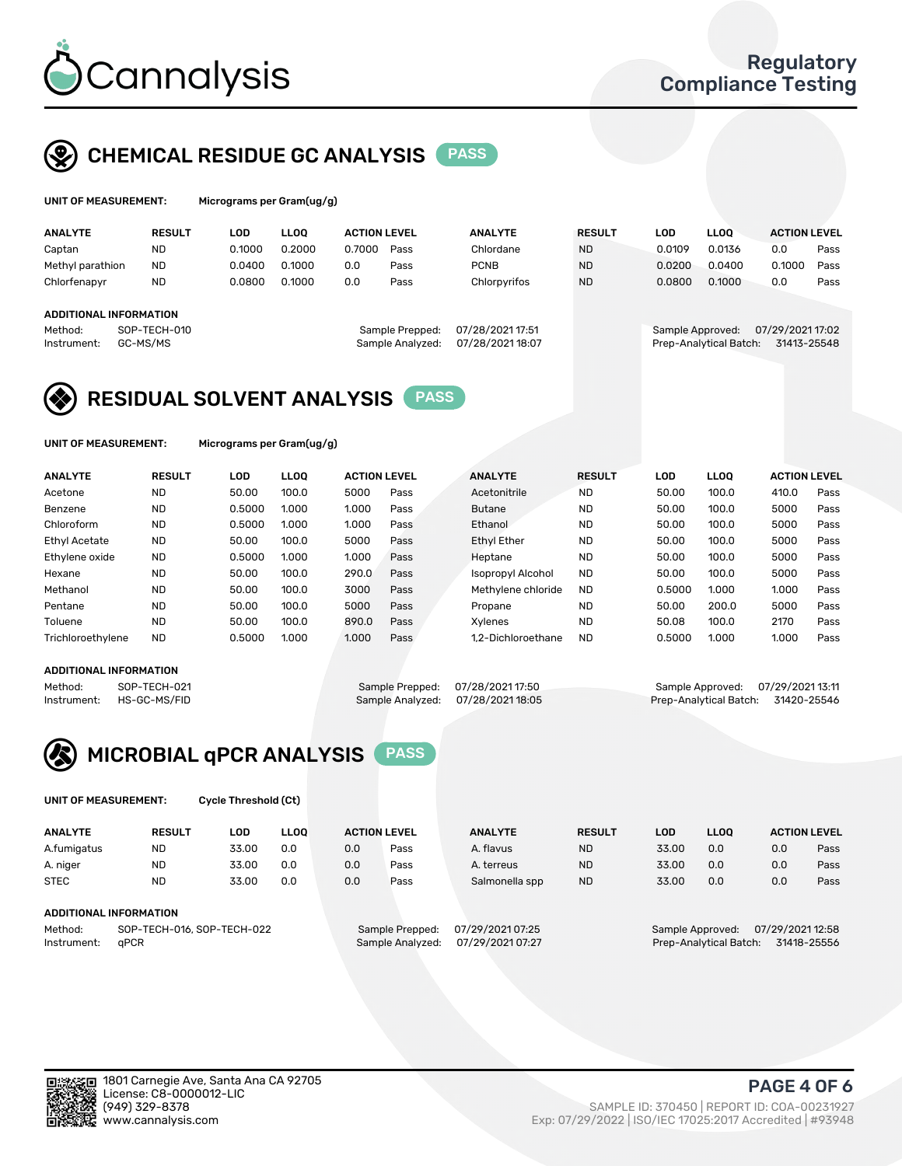

## CHEMICAL RESIDUE GC ANALYSIS PASS

| UNIT OF MEASUREMENT: | Mic |
|----------------------|-----|
|                      |     |

rograms per Gram(ug/g)

| <b>ANALYTE</b>         | <b>RESULT</b>            | LOD    | <b>LLOO</b> | <b>ACTION LEVEL</b> |                                     | <b>ANALYTE</b>                      | <b>RESULT</b> | LOD              | <b>LLOO</b>            | <b>ACTION LEVEL</b>             |      |
|------------------------|--------------------------|--------|-------------|---------------------|-------------------------------------|-------------------------------------|---------------|------------------|------------------------|---------------------------------|------|
| Captan                 | <b>ND</b>                | 0.1000 | 0.2000      | 0.7000              | Pass                                | Chlordane                           | <b>ND</b>     | 0.0109           | 0.0136                 | 0.0                             | Pass |
| Methyl parathion       | <b>ND</b>                | 0.0400 | 0.1000      | 0.0                 | Pass                                | <b>PCNB</b>                         | <b>ND</b>     | 0.0200           | 0.0400                 | 0.1000                          | Pass |
| Chlorfenapyr           | <b>ND</b>                | 0.0800 | 0.1000      | 0.0                 | Pass                                | Chlorpyrifos                        | <b>ND</b>     | 0.0800           | 0.1000                 | 0.0                             | Pass |
| ADDITIONAL INFORMATION |                          |        |             |                     |                                     |                                     |               |                  |                        |                                 |      |
| Method:<br>Instrument: | SOP-TECH-010<br>GC-MS/MS |        |             |                     | Sample Prepped:<br>Sample Analyzed: | 07/28/2021 17:51<br>07/28/202118:07 |               | Sample Approved: | Prep-Analytical Batch: | 07/29/2021 17:02<br>31413-25548 |      |

## RESIDUAL SOLVENT ANALYSIS PASS

UNIT OF MEASUREMENT: Micrograms per Gram(ug/g)

| <b>ANALYTE</b>       | <b>RESULT</b> | <b>LOD</b> | <b>LLOO</b> | <b>ACTION LEVEL</b> |      | <b>ANALYTE</b>           | <b>RESULT</b> | LOD    | <b>LLOO</b> | <b>ACTION LEVEL</b> |      |
|----------------------|---------------|------------|-------------|---------------------|------|--------------------------|---------------|--------|-------------|---------------------|------|
| Acetone              | <b>ND</b>     | 50.00      | 100.0       | 5000                | Pass | Acetonitrile             | <b>ND</b>     | 50.00  | 100.0       | 410.0               | Pass |
| Benzene              | <b>ND</b>     | 0.5000     | 1.000       | 1.000               | Pass | <b>Butane</b>            | <b>ND</b>     | 50.00  | 100.0       | 5000                | Pass |
| Chloroform           | <b>ND</b>     | 0.5000     | 1.000       | 1.000               | Pass | Ethanol                  | <b>ND</b>     | 50.00  | 100.0       | 5000                | Pass |
| <b>Ethyl Acetate</b> | <b>ND</b>     | 50.00      | 100.0       | 5000                | Pass | <b>Ethyl Ether</b>       | <b>ND</b>     | 50.00  | 100.0       | 5000                | Pass |
| Ethylene oxide       | <b>ND</b>     | 0.5000     | 1.000       | 1.000               | Pass | Heptane                  | <b>ND</b>     | 50.00  | 100.0       | 5000                | Pass |
| Hexane               | <b>ND</b>     | 50.00      | 100.0       | 290.0               | Pass | <b>Isopropyl Alcohol</b> | <b>ND</b>     | 50.00  | 100.0       | 5000                | Pass |
| Methanol             | <b>ND</b>     | 50.00      | 100.0       | 3000                | Pass | Methylene chloride       | <b>ND</b>     | 0.5000 | 1.000       | 1.000               | Pass |
| Pentane              | <b>ND</b>     | 50.00      | 100.0       | 5000                | Pass | Propane                  | <b>ND</b>     | 50.00  | 200.0       | 5000                | Pass |
| Toluene              | <b>ND</b>     | 50.00      | 100.0       | 890.0               | Pass | Xylenes                  | <b>ND</b>     | 50.08  | 100.0       | 2170                | Pass |
| Trichloroethylene    | <b>ND</b>     | 0.5000     | 1.000       | 1.000               | Pass | 1.2-Dichloroethane       | <b>ND</b>     | 0.5000 | 1.000       | 1.000               | Pass |

### ADDITIONAL INFORMATION

Method: SOP-TECH-021 Sample Prepped: 07/28/202117:50 Sample Approved: 07/29/202113:11<br>Instrument: HS-GC-MS/FID Sample Analyzed: 07/28/202118:05 Prep-Analytical Batch: 31420-25546 Prep-Analytical Batch: 31420-25546



UNIT OF MEASUREMENT: Cycle Threshold (Ct)

| <b>ANALYTE</b> | <b>RESULT</b>              | LOD   | <b>LLOO</b> | <b>ACTION LEVEL</b> |                 | <b>ANALYTE</b>   | <b>RESULT</b> | LOD   | <b>LLOO</b>      |                  | <b>ACTION LEVEL</b> |
|----------------|----------------------------|-------|-------------|---------------------|-----------------|------------------|---------------|-------|------------------|------------------|---------------------|
| A.fumigatus    | <b>ND</b>                  | 33.00 | 0.0         | 0.0                 | Pass            | A. flavus        | <b>ND</b>     | 33.00 | 0.0              | 0.0              | Pass                |
| A. niger       | <b>ND</b>                  | 33.00 | 0.0         | 0.0                 | Pass            | A. terreus       | <b>ND</b>     | 33.00 | 0.0              | 0.0              | Pass                |
| <b>STEC</b>    | <b>ND</b>                  | 33.00 | 0.0         | 0.0                 | Pass            | Salmonella spp   | <b>ND</b>     | 33.00 | 0.0              | 0.0              | Pass                |
|                | ADDITIONAL INFORMATION     |       |             |                     |                 |                  |               |       |                  |                  |                     |
| Method:        | SOP-TECH-016, SOP-TECH-022 |       |             |                     | Sample Prepped: | 07/29/2021 07:25 |               |       | Sample Approved: | 07/29/2021 12:58 |                     |

Instrument: qPCR Sample Analyzed: 07/29/2021 07:27 Prep-Analytical Batch: 31418-25556

PAGE 4 OF 6

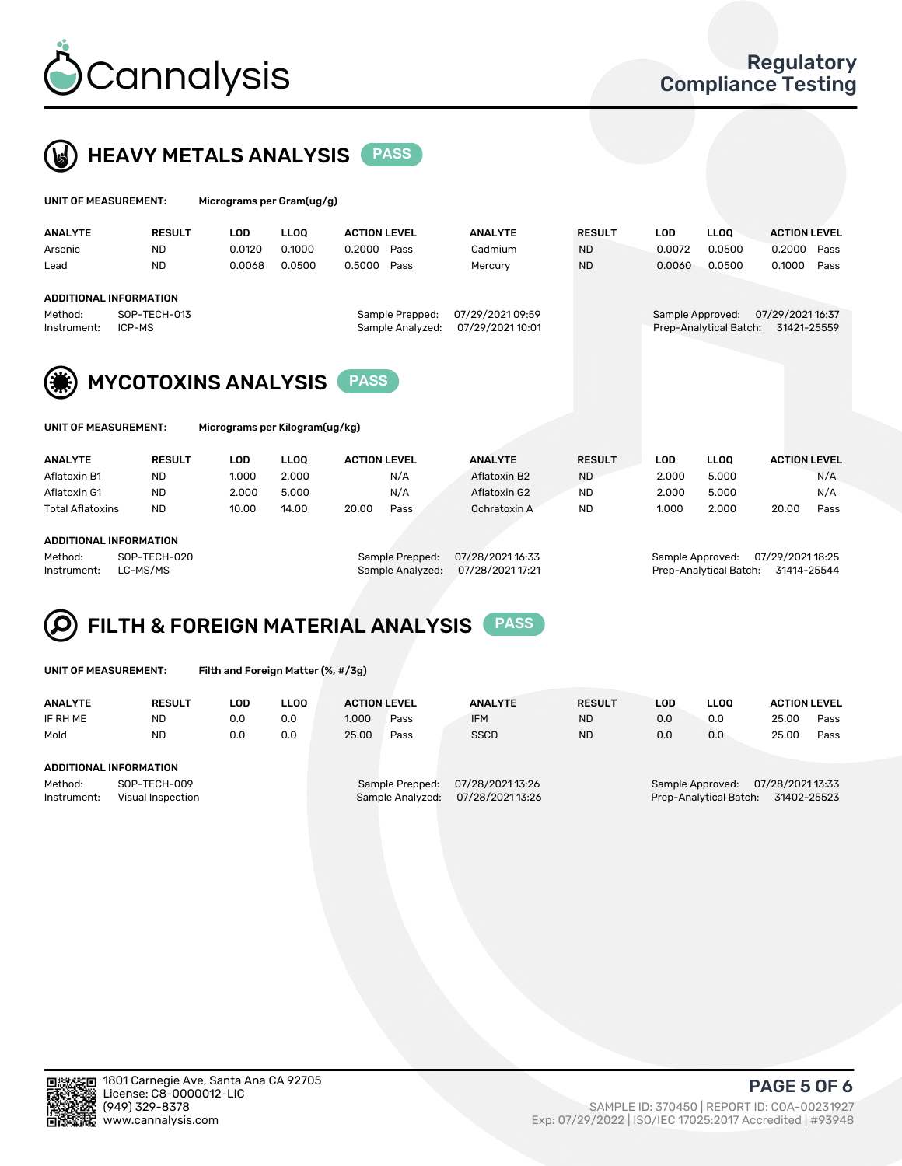



| UNIT OF MEASUREMENT: |                               | Micrograms per Gram(ug/g) |             |                     |                  |                  |               |                  |                        |                     |      |
|----------------------|-------------------------------|---------------------------|-------------|---------------------|------------------|------------------|---------------|------------------|------------------------|---------------------|------|
| <b>ANALYTE</b>       | <b>RESULT</b>                 | <b>LOD</b>                | <b>LLOO</b> | <b>ACTION LEVEL</b> |                  | <b>ANALYTE</b>   | <b>RESULT</b> | <b>LOD</b>       | <b>LLOO</b>            | <b>ACTION LEVEL</b> |      |
| Arsenic              | <b>ND</b>                     | 0.0120                    | 0.1000      | 0.2000              | Pass             | Cadmium          | <b>ND</b>     | 0.0072           | 0.0500                 | 0.2000              | Pass |
| Lead                 | <b>ND</b>                     | 0.0068                    | 0.0500      | 0.5000              | Pass             | Mercury          | <b>ND</b>     | 0.0060           | 0.0500                 | 0.1000              | Pass |
|                      | <b>ADDITIONAL INFORMATION</b> |                           |             |                     |                  |                  |               |                  |                        |                     |      |
| Method:              | SOP-TECH-013                  |                           |             |                     | Sample Prepped:  | 07/29/2021 09:59 |               | Sample Approved: |                        | 07/29/2021 16:37    |      |
| Instrument:          | ICP-MS                        |                           |             |                     | Sample Analyzed: | 07/29/2021 10:01 |               |                  | Prep-Analytical Batch: | 31421-25559         |      |
|                      |                               |                           |             | <b>PASS</b>         |                  |                  |               |                  |                        |                     |      |
| (第)                  | <b>MYCOTOXINS ANALYSIS</b>    |                           |             |                     |                  |                  |               |                  |                        |                     |      |

UNIT OF MEASUREMENT: Micrograms per Kilogram(ug/kg)

| <b>ANALYTE</b>          | <b>RESULT</b> | LOD   | <b>LLOO</b> | <b>ACTION LEVEL</b> |      | <b>ANALYTE</b> | <b>RESULT</b> | LOD   | <b>LLOO</b> | <b>ACTION LEVEL</b> |      |
|-------------------------|---------------|-------|-------------|---------------------|------|----------------|---------------|-------|-------------|---------------------|------|
| Aflatoxin B1            | <b>ND</b>     | 1.000 | 2.000       |                     | N/A  | Aflatoxin B2   | <b>ND</b>     | 2.000 | 5.000       |                     | N/A  |
| Aflatoxin G1            | <b>ND</b>     | 2.000 | 5.000       |                     | N/A  | Aflatoxin G2   | <b>ND</b>     | 2.000 | 5.000       |                     | N/A  |
| <b>Total Aflatoxins</b> | <b>ND</b>     | 10.00 | 14.00       | 20.00               | Pass | Ochratoxin A   | <b>ND</b>     | 1.000 | 2.000       | 20.00               | Pass |
|                         |               |       |             |                     |      |                |               |       |             |                     |      |

#### ADDITIONAL INFORMATION

Method: SOP-TECH-020 Sample Prepped: 07/28/2021 16:33 Sample Approved: 07/29/2021 18:25 Instrument: LC-MS/MS Sample Analyzed: 07/28/2021 17:21 Prep-Analytical Batch: 31414-25544

# FILTH & FOREIGN MATERIAL ANALYSIS PASS

UNIT OF MEASUREMENT: Filth and Foreign Matter (%, #/3g)

| <b>ANALYTE</b>                                              | <b>RESULT</b>          | LOD | <b>LLOO</b> | <b>ACTION LEVEL</b>                 |                                    | <b>ANALYTE</b> | <b>RESULT</b> | LOD | <b>LLOO</b>                                                                   | <b>ACTION LEVEL</b> |      |  |
|-------------------------------------------------------------|------------------------|-----|-------------|-------------------------------------|------------------------------------|----------------|---------------|-----|-------------------------------------------------------------------------------|---------------------|------|--|
| IF RH ME                                                    | <b>ND</b>              | 0.0 | 0.0         | 1.000                               | Pass                               | <b>IFM</b>     | <b>ND</b>     | 0.0 | 0.0                                                                           | 25.00               | Pass |  |
| Mold                                                        | <b>ND</b>              | 0.0 | 0.0         | 25.00                               | Pass                               | <b>SSCD</b>    | <b>ND</b>     | 0.0 | 0.0                                                                           | 25.00               | Pass |  |
|                                                             | ADDITIONAL INFORMATION |     |             |                                     |                                    |                |               |     |                                                                               |                     |      |  |
| Method:<br>SOP-TECH-009<br>Instrument:<br>Visual Inspection |                        |     |             | Sample Prepped:<br>Sample Analyzed: | 07/28/202113:26<br>07/28/202113:26 |                |               |     | 07/28/2021 13:33<br>Sample Approved:<br>31402-25523<br>Prep-Analytical Batch: |                     |      |  |



PAGE 5 OF 6